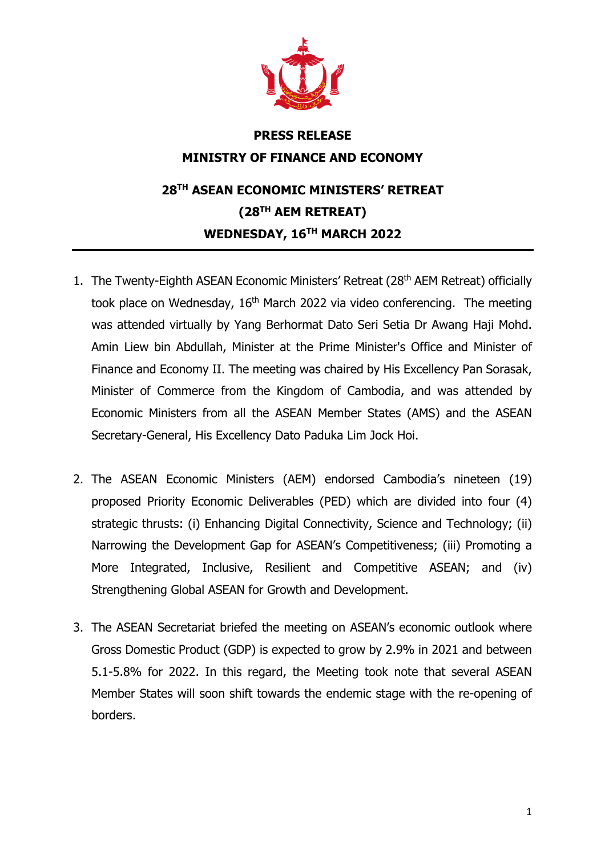

## **PRESS RELEASE MINISTRY OF FINANCE AND ECONOMY 28TH ASEAN ECONOMIC MINISTERS' RETREAT (28TH AEM RETREAT) WEDNESDAY, 16TH MARCH 2022**

- 1. The Twenty-Eighth ASEAN Economic Ministers' Retreat (28<sup>th</sup> AEM Retreat) officially took place on Wednesday, 16<sup>th</sup> March 2022 via video conferencing. The meeting was attended virtually by Yang Berhormat Dato Seri Setia Dr Awang Haji Mohd. Amin Liew bin Abdullah, Minister at the Prime Minister's Office and Minister of Finance and Economy II. The meeting was chaired by His Excellency Pan Sorasak, Minister of Commerce from the Kingdom of Cambodia, and was attended by Economic Ministers from all the ASEAN Member States (AMS) and the ASEAN Secretary-General, His Excellency Dato Paduka Lim Jock Hoi.
- 2. The ASEAN Economic Ministers (AEM) endorsed Cambodia's nineteen (19) proposed Priority Economic Deliverables (PED) which are divided into four (4) strategic thrusts: (i) Enhancing Digital Connectivity, Science and Technology; (ii) Narrowing the Development Gap for ASEAN's Competitiveness; (iii) Promoting a More Integrated, Inclusive, Resilient and Competitive ASEAN; and (iv) Strengthening Global ASEAN for Growth and Development.
- 3. The ASEAN Secretariat briefed the meeting on ASEAN's economic outlook where Gross Domestic Product (GDP) is expected to grow by 2.9% in 2021 and between 5.1-5.8% for 2022. In this regard, the Meeting took note that several ASEAN Member States will soon shift towards the endemic stage with the re-opening of borders.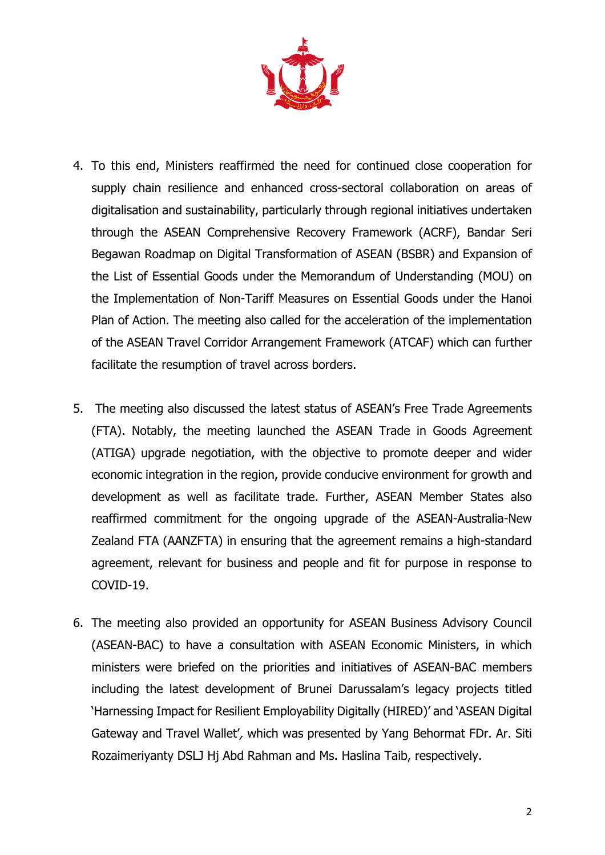

- 4. To this end, Ministers reaffirmed the need for continued close cooperation for supply chain resilience and enhanced cross-sectoral collaboration on areas of digitalisation and sustainability, particularly through regional initiatives undertaken through the ASEAN Comprehensive Recovery Framework (ACRF), Bandar Seri Begawan Roadmap on Digital Transformation of ASEAN (BSBR) and Expansion of the List of Essential Goods under the Memorandum of Understanding (MOU) on the Implementation of Non-Tariff Measures on Essential Goods under the Hanoi Plan of Action. The meeting also called for the acceleration of the implementation of the ASEAN Travel Corridor Arrangement Framework (ATCAF) which can further facilitate the resumption of travel across borders.
- 5. The meeting also discussed the latest status of ASEAN's Free Trade Agreements (FTA). Notably, the meeting launched the ASEAN Trade in Goods Agreement (ATIGA) upgrade negotiation, with the objective to promote deeper and wider economic integration in the region, provide conducive environment for growth and development as well as facilitate trade. Further, ASEAN Member States also reaffirmed commitment for the ongoing upgrade of the ASEAN-Australia-New Zealand FTA (AANZFTA) in ensuring that the agreement remains a high-standard agreement, relevant for business and people and fit for purpose in response to COVID-19.
- 6. The meeting also provided an opportunity for ASEAN Business Advisory Council (ASEAN-BAC) to have a consultation with ASEAN Economic Ministers, in which ministers were briefed on the priorities and initiatives of ASEAN-BAC members including the latest development of Brunei Darussalam's legacy projects titled 'Harnessing Impact for Resilient Employability Digitally (HIRED)' and 'ASEAN Digital Gateway and Travel Wallet', which was presented by Yang Behormat FDr. Ar. Siti Rozaimeriyanty DSLJ Hj Abd Rahman and Ms. Haslina Taib, respectively.